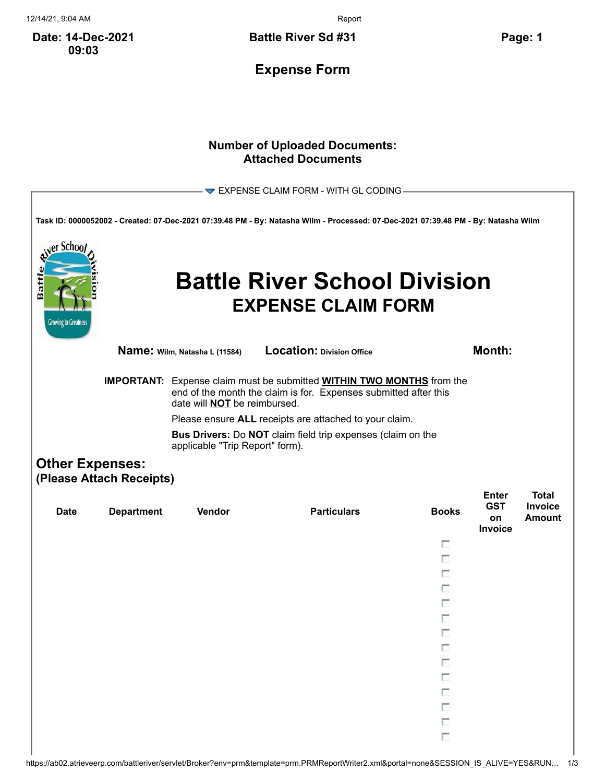12/14/21, 9:04 AM Report

**Date: 14-Dec-2021 09:03**

**Battle River Sd #31 Page: 1**

**Expense Form**

## **Number of Uploaded Documents: Attached Documents**

|                                                                                       |                   |                                                                                                                                                                                                                                                                                                                         | $\blacktriangleright$ EXPENSE CLAIM FORM - WITH GL CODING                                                                         |              |                                             |                                          |  |  |
|---------------------------------------------------------------------------------------|-------------------|-------------------------------------------------------------------------------------------------------------------------------------------------------------------------------------------------------------------------------------------------------------------------------------------------------------------------|-----------------------------------------------------------------------------------------------------------------------------------|--------------|---------------------------------------------|------------------------------------------|--|--|
|                                                                                       |                   |                                                                                                                                                                                                                                                                                                                         | Task ID: 0000052002 - Created: 07-Dec-2021 07:39.48 PM - By: Natasha Wilm - Processed: 07-Dec-2021 07:39.48 PM - By: Natasha Wilm |              |                                             |                                          |  |  |
| er Schoo<br>Battl<br><b>Growing to Greatness</b>                                      |                   |                                                                                                                                                                                                                                                                                                                         | <b>Battle River School Division</b><br><b>EXPENSE CLAIM FORM</b>                                                                  |              |                                             |                                          |  |  |
|                                                                                       |                   | Name: Wilm, Natasha L (11584)                                                                                                                                                                                                                                                                                           | <b>Location: Division Office</b>                                                                                                  |              | <b>Month:</b>                               |                                          |  |  |
|                                                                                       |                   | <b>IMPORTANT:</b> Expense claim must be submitted <b>WITHIN TWO MONTHS</b> from the<br>end of the month the claim is for. Expenses submitted after this<br>date will <b>NOT</b> be reimbursed.<br>Please ensure ALL receipts are attached to your claim.<br>Bus Drivers: Do NOT claim field trip expenses (claim on the |                                                                                                                                   |              |                                             |                                          |  |  |
| applicable "Trip Report" form).<br><b>Other Expenses:</b><br>(Please Attach Receipts) |                   |                                                                                                                                                                                                                                                                                                                         |                                                                                                                                   |              |                                             |                                          |  |  |
| <b>Date</b>                                                                           | <b>Department</b> | Vendor                                                                                                                                                                                                                                                                                                                  | <b>Particulars</b>                                                                                                                | <b>Books</b> | <b>Enter</b><br><b>GST</b><br>on<br>Invoice | <b>Total</b><br>Invoice<br><b>Amount</b> |  |  |
|                                                                                       |                   |                                                                                                                                                                                                                                                                                                                         |                                                                                                                                   | п            |                                             |                                          |  |  |
|                                                                                       |                   |                                                                                                                                                                                                                                                                                                                         |                                                                                                                                   | п            |                                             |                                          |  |  |
|                                                                                       |                   |                                                                                                                                                                                                                                                                                                                         |                                                                                                                                   |              |                                             |                                          |  |  |
|                                                                                       |                   |                                                                                                                                                                                                                                                                                                                         |                                                                                                                                   | п            |                                             |                                          |  |  |
|                                                                                       |                   |                                                                                                                                                                                                                                                                                                                         |                                                                                                                                   |              |                                             |                                          |  |  |
|                                                                                       |                   |                                                                                                                                                                                                                                                                                                                         |                                                                                                                                   |              |                                             |                                          |  |  |
|                                                                                       |                   |                                                                                                                                                                                                                                                                                                                         |                                                                                                                                   | п            |                                             |                                          |  |  |
|                                                                                       |                   |                                                                                                                                                                                                                                                                                                                         |                                                                                                                                   |              |                                             |                                          |  |  |
|                                                                                       |                   |                                                                                                                                                                                                                                                                                                                         |                                                                                                                                   | П            |                                             |                                          |  |  |
|                                                                                       |                   |                                                                                                                                                                                                                                                                                                                         |                                                                                                                                   |              |                                             |                                          |  |  |
|                                                                                       |                   |                                                                                                                                                                                                                                                                                                                         |                                                                                                                                   | п            |                                             |                                          |  |  |
|                                                                                       |                   |                                                                                                                                                                                                                                                                                                                         |                                                                                                                                   |              |                                             |                                          |  |  |
|                                                                                       |                   |                                                                                                                                                                                                                                                                                                                         |                                                                                                                                   | П            |                                             |                                          |  |  |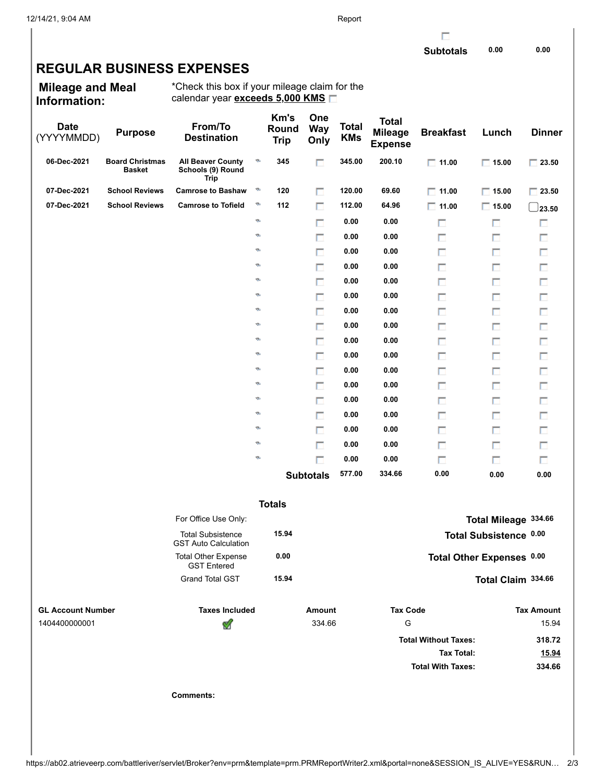г

## **REGULAR BUSINESS EXPENSES**

**Mileage and Meal Information:**

\*Check this box if your mileage claim for the calendar year **exceeds 5,000 KMS**

| <b>Date</b><br>(YYYYMMDD) | <b>Purpose</b>                          | From/To<br><b>Destination</b>                           |          | Km's<br>Round<br><b>Trip</b> | One<br><b>Way</b><br>Only | <b>Total</b><br><b>KMs</b> | <b>Total</b><br><b>Mileage</b><br><b>Expense</b> | <b>Breakfast</b>            | Lunch                     | <b>Dinner</b>     |
|---------------------------|-----------------------------------------|---------------------------------------------------------|----------|------------------------------|---------------------------|----------------------------|--------------------------------------------------|-----------------------------|---------------------------|-------------------|
| 06-Dec-2021               | <b>Board Christmas</b><br><b>Basket</b> | <b>All Beaver County</b><br>Schools (9) Round<br>Trip   | ø        | 345                          | П                         | 345.00                     | 200.10                                           | $\Box$ 11.00                | $\Box$ 15.00              | $\Box$ 23.50      |
| 07-Dec-2021               | <b>School Reviews</b>                   | <b>Camrose to Bashaw</b>                                | Ø        | 120                          | П                         | 120.00                     | 69.60                                            | $\Box$ 11.00                | $\Box$ 15.00              | $\Box$ 23.50      |
| 07-Dec-2021               | <b>School Reviews</b>                   | <b>Camrose to Tofield</b>                               | ø        | 112                          | П                         | 112.00                     | 64.96                                            | $\Box$ 11.00                | $\Box$ 15.00              | $\_$ 23.50        |
|                           |                                         |                                                         | ø        |                              | П                         | 0.00                       | 0.00                                             | П                           | П                         | П                 |
|                           |                                         |                                                         | ø        |                              | П                         | 0.00                       | 0.00                                             | П                           | П                         | П                 |
|                           |                                         |                                                         | ø        |                              | П                         | 0.00                       | 0.00                                             | П                           | п                         | П                 |
|                           |                                         |                                                         | ø        |                              | П                         | 0.00                       | 0.00                                             | П                           | П                         | П                 |
|                           |                                         |                                                         | ø        |                              | П                         | 0.00                       | 0.00                                             | П                           | П                         | П                 |
|                           |                                         |                                                         | ø        |                              | П                         | 0.00                       | 0.00                                             | П                           | П                         | П                 |
|                           |                                         |                                                         | ø        |                              | П                         | 0.00                       | 0.00                                             | П                           | п                         | П                 |
|                           |                                         |                                                         | ø        |                              | П                         | 0.00                       | 0.00                                             | П                           | П                         | П                 |
|                           |                                         |                                                         | ø        |                              | П                         | 0.00                       | 0.00                                             | П                           | П                         | П                 |
|                           |                                         |                                                         | ø        |                              | П                         | 0.00                       | 0.00                                             | П                           | П                         | П                 |
|                           |                                         |                                                         | ø        |                              | П                         | 0.00                       | 0.00                                             | П                           | п                         | П                 |
|                           |                                         |                                                         | ø        |                              | П                         | 0.00                       | 0.00                                             | П                           | П                         | П                 |
|                           |                                         |                                                         | ø        |                              | П                         | 0.00                       | 0.00                                             | П                           | П                         | П                 |
|                           |                                         |                                                         | ø        |                              | П                         | 0.00                       | 0.00                                             | П                           | П                         | П                 |
|                           |                                         |                                                         | ø        |                              | П                         | 0.00                       | 0.00                                             | П                           | П                         | П                 |
|                           |                                         |                                                         | ø        |                              | П                         | 0.00                       | 0.00                                             | П                           | п                         | П                 |
|                           |                                         |                                                         | <b>S</b> |                              | П                         | 0.00                       | 0.00                                             | П                           | П                         | $\Box$            |
|                           |                                         |                                                         |          |                              | <b>Subtotals</b>          | 577.00                     | 334.66                                           | 0.00                        | 0.00                      | 0.00              |
|                           |                                         |                                                         |          | <b>Totals</b>                |                           |                            |                                                  |                             |                           |                   |
|                           |                                         | For Office Use Only:                                    |          |                              |                           |                            |                                                  |                             | Total Mileage 334.66      |                   |
|                           |                                         | <b>Total Subsistence</b><br><b>GST Auto Calculation</b> |          | 15.94                        |                           |                            |                                                  |                             | Total Subsistence 0.00    |                   |
|                           |                                         | <b>Total Other Expense</b><br><b>GST Entered</b>        |          | 0.00                         |                           |                            |                                                  |                             | Total Other Expenses 0.00 |                   |
|                           |                                         | <b>Grand Total GST</b>                                  |          | 15.94                        |                           |                            |                                                  |                             | Total Claim 334.66        |                   |
| <b>GL Account Number</b>  |                                         | <b>Taxes Included</b>                                   |          |                              | <b>Amount</b>             |                            | <b>Tax Code</b>                                  |                             |                           | <b>Tax Amount</b> |
| 1404400000001             |                                         | V                                                       |          |                              | 334.66                    |                            | G                                                |                             |                           | 15.94             |
|                           |                                         |                                                         |          |                              |                           |                            |                                                  | <b>Total Without Taxes:</b> |                           | 318.72            |
|                           |                                         |                                                         |          |                              |                           |                            |                                                  | <b>Tax Total:</b>           |                           | <u>15.94</u>      |
|                           |                                         |                                                         |          |                              |                           |                            |                                                  | <b>Total With Taxes:</b>    |                           | 334.66            |
|                           |                                         | <b>Comments:</b>                                        |          |                              |                           |                            |                                                  |                             |                           |                   |
|                           |                                         |                                                         |          |                              |                           |                            |                                                  |                             |                           |                   |